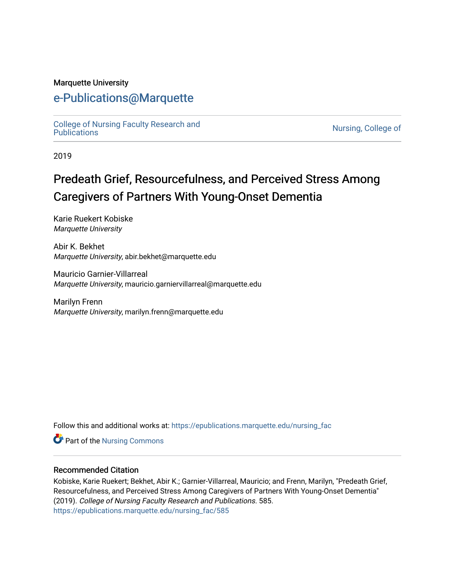#### Marquette University

## [e-Publications@Marquette](https://epublications.marquette.edu/)

[College of Nursing Faculty Research and](https://epublications.marquette.edu/nursing_fac)<br>Publications

Nursing, College of

2019

# Predeath Grief, Resourcefulness, and Perceived Stress Among Caregivers of Partners With Young-Onset Dementia

Karie Ruekert Kobiske Marquette University

Abir K. Bekhet Marquette University, abir.bekhet@marquette.edu

Mauricio Garnier-Villarreal Marquette University, mauricio.garniervillarreal@marquette.edu

Marilyn Frenn Marquette University, marilyn.frenn@marquette.edu

Follow this and additional works at: [https://epublications.marquette.edu/nursing\\_fac](https://epublications.marquette.edu/nursing_fac?utm_source=epublications.marquette.edu%2Fnursing_fac%2F585&utm_medium=PDF&utm_campaign=PDFCoverPages)

Part of the [Nursing Commons](http://network.bepress.com/hgg/discipline/718?utm_source=epublications.marquette.edu%2Fnursing_fac%2F585&utm_medium=PDF&utm_campaign=PDFCoverPages) 

#### Recommended Citation

Kobiske, Karie Ruekert; Bekhet, Abir K.; Garnier-Villarreal, Mauricio; and Frenn, Marilyn, "Predeath Grief, Resourcefulness, and Perceived Stress Among Caregivers of Partners With Young-Onset Dementia" (2019). College of Nursing Faculty Research and Publications. 585. [https://epublications.marquette.edu/nursing\\_fac/585](https://epublications.marquette.edu/nursing_fac/585?utm_source=epublications.marquette.edu%2Fnursing_fac%2F585&utm_medium=PDF&utm_campaign=PDFCoverPages)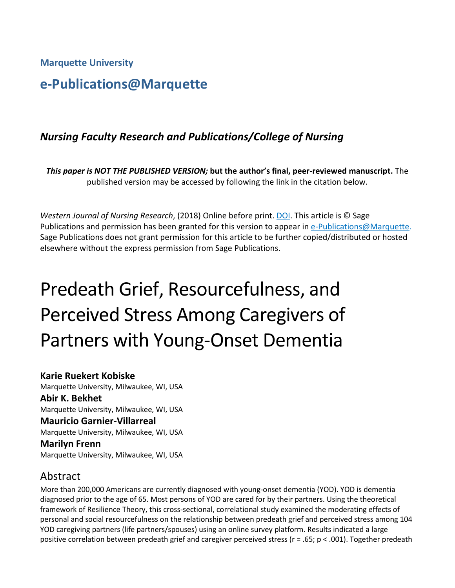**Marquette University**

## **e-Publications@Marquette**

## *Nursing Faculty Research and Publications/College of Nursing*

*This paper is NOT THE PUBLISHED VERSION;* **but the author's final, peer-reviewed manuscript.** The published version may be accessed by following the link in the citation below.

*Western Journal of Nursing Research*, (2018) Online before print. DOI. This article is © Sage Publications and permission has been granted for this version to appear in [e-Publications@Marquette.](http://epublications.marquette.edu/) Sage Publications does not grant permission for this article to be further copied/distributed or hosted elsewhere without the express permission from Sage Publications.

# Predeath Grief, Resourcefulness, and Perceived Stress Among Caregivers of Partners with Young-Onset Dementia

#### **Karie Ruekert Kobiske**

Marquette University, Milwaukee, WI, USA **Abir K. Bekhet** Marquette University, Milwaukee, WI, USA **Mauricio Garnier-Villarreal** Marquette University, Milwaukee, WI, USA **Marilyn Frenn** Marquette University, Milwaukee, WI, USA

## Abstract

More than 200,000 Americans are currently diagnosed with young-onset dementia (YOD). YOD is dementia diagnosed prior to the age of 65. Most persons of YOD are cared for by their partners. Using the theoretical framework of Resilience Theory, this cross-sectional, correlational study examined the moderating effects of personal and social resourcefulness on the relationship between predeath grief and perceived stress among 104 YOD caregiving partners (life partners/spouses) using an online survey platform. Results indicated a large positive correlation between predeath grief and caregiver perceived stress (r = .65; p < .001). Together predeath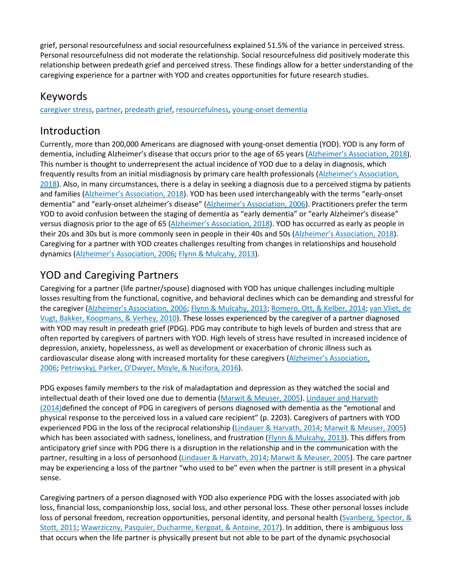grief, personal resourcefulness and social resourcefulness explained 51.5% of the variance in perceived stress. Personal resourcefulness did not moderate the relationship. Social resourcefulness did positively moderate this relationship between predeath grief and perceived stress. These findings allow for a better understanding of the caregiving experience for a partner with YOD and creates opportunities for future research studies.

### Keywords

[caregiver stress,](https://journals.sagepub.com/keyword/Caregiver+Stress) [partner,](https://journals.sagepub.com/keyword/Partner) [predeath grief,](https://journals.sagepub.com/keyword/Predeath+Grief) [resourcefulness,](https://journals.sagepub.com/keyword/Resourcefulness) [young-onset dementia](https://journals.sagepub.com/keyword/Young-onset+Dementia)

## Introduction

Currently, more than 200,000 Americans are diagnosed with young-onset dementia (YOD). YOD is any form of dementia, including Alzheimer's disease that occurs prior to the age of 65 years [\(Alzheimer's Association, 2018\)](https://journals.sagepub.com/doi/10.1177/0193945918806689). This number is thought to underrepresent the actual incidence of YOD due to a delay in diagnosis, which frequently results from an initial misdiagnosis by primary care health professionals [\(Alzheimer's Association,](https://journals.sagepub.com/doi/10.1177/0193945918806689)  [2018\)](https://journals.sagepub.com/doi/10.1177/0193945918806689). Also, in many circumstances, there is a delay in seeking a diagnosis due to a perceived stigma by patients and families [\(Alzheimer's Association, 2018\)](https://journals.sagepub.com/doi/10.1177/0193945918806689). YOD has been used interchangeably with the terms "early-onset dementia" and "early-onset alzheimer's disease" [\(Alzheimer's Association, 2006\)](https://journals.sagepub.com/doi/10.1177/0193945918806689). Practitioners prefer the term YOD to avoid confusion between the staging of dementia as "early dementia" or "early Alzheimer's disease" versus diagnosis prior to the age of 65 [\(Alzheimer's Association, 2018\)](https://journals.sagepub.com/doi/10.1177/0193945918806689). YOD has occurred as early as people in their 20s and 30s but is more commonly seen in people in their 40s and 50s [\(Alzheimer's Association, 2018\)](https://journals.sagepub.com/doi/10.1177/0193945918806689). Caregiving for a partner with YOD creates challenges resulting from changes in relationships and household dynamics [\(Alzheimer's Association, 2006;](https://journals.sagepub.com/doi/10.1177/0193945918806689) [Flynn & Mulcahy, 2013\)](https://journals.sagepub.com/doi/10.1177/0193945918806689).

## YOD and Caregiving Partners

Caregiving for a partner (life partner/spouse) diagnosed with YOD has unique challenges including multiple losses resulting from the functional, cognitive, and behavioral declines which can be demanding and stressful for the caregiver [\(Alzheimer's Association, 2006;](https://journals.sagepub.com/doi/10.1177/0193945918806689) [Flynn & Mulcahy, 2013;](https://journals.sagepub.com/doi/10.1177/0193945918806689) [Romero, Ott, & Kelber, 2014;](https://journals.sagepub.com/doi/10.1177/0193945918806689) [van Vliet, de](https://journals.sagepub.com/doi/10.1177/0193945918806689)  [Vugt, Bakker, Koopmans, & Verhey, 2010\)](https://journals.sagepub.com/doi/10.1177/0193945918806689). These losses experienced by the caregiver of a partner diagnosed with YOD may result in predeath grief (PDG). PDG may contribute to high levels of burden and stress that are often reported by caregivers of partners with YOD. High levels of stress have resulted in increased incidence of depression, anxiety, hopelessness, as well as development or exacerbation of chronic illness such as cardiovascular disease along with increased mortality for these caregivers [\(Alzheimer's Association,](https://journals.sagepub.com/doi/10.1177/0193945918806689)  [2006;](https://journals.sagepub.com/doi/10.1177/0193945918806689) [Petriwskyj, Parker, O'Dwyer, Moyle, & Nucifora, 2016\)](https://journals.sagepub.com/doi/10.1177/0193945918806689).

PDG exposes family members to the risk of maladaptation and depression as they watched the social and intellectual death of their loved one due to dementia [\(Marwit & Meuser, 2005\)](https://journals.sagepub.com/doi/10.1177/0193945918806689). [Lindauer and Harvath](https://journals.sagepub.com/doi/10.1177/0193945918806689)  [\(2014\)d](https://journals.sagepub.com/doi/10.1177/0193945918806689)efined the concept of PDG in caregivers of persons diagnosed with dementia as the "emotional and physical response to the perceived loss in a valued care recipient" (p. 2203). Caregivers of partners with YOD experienced PDG in the loss of the reciprocal relationship [\(Lindauer & Harvath, 2014;](https://journals.sagepub.com/doi/10.1177/0193945918806689) [Marwit & Meuser, 2005\)](https://journals.sagepub.com/doi/10.1177/0193945918806689) which has been associated with sadness, loneliness, and frustration [\(Flynn & Mulcahy, 2013\)](https://journals.sagepub.com/doi/10.1177/0193945918806689). This differs from anticipatory grief since with PDG there is a disruption in the relationship and in the communication with the partner, resulting in a loss of personhood [\(Lindauer & Harvath, 2014;](https://journals.sagepub.com/doi/10.1177/0193945918806689) [Marwit & Meuser, 2005\)](https://journals.sagepub.com/doi/10.1177/0193945918806689). The care partner may be experiencing a loss of the partner "who used to be" even when the partner is still present in a physical sense.

Caregiving partners of a person diagnosed with YOD also experience PDG with the losses associated with job loss, financial loss, companionship loss, social loss, and other personal loss. These other personal losses include loss of personal freedom, recreation opportunities, personal identity, and personal health (Svanberg, Spector, & [Stott, 2011;](https://journals.sagepub.com/doi/10.1177/0193945918806689) [Wawrziczny, Pasquier, Ducharme, Kergoat, & Antoine, 2017\)](https://journals.sagepub.com/doi/10.1177/0193945918806689). In addition, there is ambiguous loss that occurs when the life partner is physically present but not able to be part of the dynamic psychosocial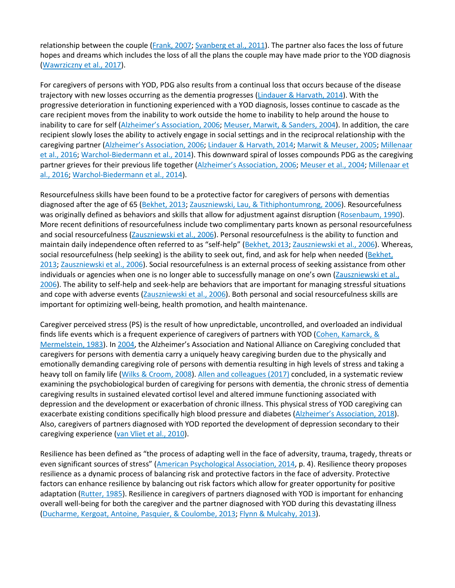relationship between the couple [\(Frank, 2007;](https://journals.sagepub.com/doi/10.1177/0193945918806689) [Svanberg et al., 2011\)](https://journals.sagepub.com/doi/10.1177/0193945918806689). The partner also faces the loss of future hopes and dreams which includes the loss of all the plans the couple may have made prior to the YOD diagnosis [\(Wawrziczny et al., 2017\)](https://journals.sagepub.com/doi/10.1177/0193945918806689).

For caregivers of persons with YOD, PDG also results from a continual loss that occurs because of the disease trajectory with new losses occurring as the dementia progresses [\(Lindauer & Harvath, 2014\)](https://journals.sagepub.com/doi/10.1177/0193945918806689). With the progressive deterioration in functioning experienced with a YOD diagnosis, losses continue to cascade as the care recipient moves from the inability to work outside the home to inability to help around the house to inability to care for self [\(Alzheimer's Association, 2006;](https://journals.sagepub.com/doi/10.1177/0193945918806689) [Meuser, Marwit, & Sanders, 2004\)](https://journals.sagepub.com/doi/10.1177/0193945918806689). In addition, the care recipient slowly loses the ability to actively engage in social settings and in the reciprocal relationship with the caregiving partner [\(Alzheimer's Association, 2006;](https://journals.sagepub.com/doi/10.1177/0193945918806689) [Lindauer & Harvath, 2014;](https://journals.sagepub.com/doi/10.1177/0193945918806689) [Marwit & Meuser, 2005;](https://journals.sagepub.com/doi/10.1177/0193945918806689) [Millenaar](https://journals.sagepub.com/doi/10.1177/0193945918806689)  [et al., 2016;](https://journals.sagepub.com/doi/10.1177/0193945918806689) [Warchol-Biedermann et al., 2014\)](https://journals.sagepub.com/doi/10.1177/0193945918806689). This downward spiral of losses compounds PDG as the caregiving partner grieves for their previous life together [\(Alzheimer's Association, 2006;](https://journals.sagepub.com/doi/10.1177/0193945918806689) [Meuser et al., 2004;](https://journals.sagepub.com/doi/10.1177/0193945918806689) [Millenaar et](https://journals.sagepub.com/doi/10.1177/0193945918806689)  [al., 2016;](https://journals.sagepub.com/doi/10.1177/0193945918806689) [Warchol-Biedermann et al., 2014\)](https://journals.sagepub.com/doi/10.1177/0193945918806689).

Resourcefulness skills have been found to be a protective factor for caregivers of persons with dementias diagnosed after the age of 65 [\(Bekhet, 2013;](https://journals.sagepub.com/doi/10.1177/0193945918806689) [Zauszniewski, Lau, & Tithiphontumrong, 2006\)](https://journals.sagepub.com/doi/10.1177/0193945918806689). Resourcefulness was originally defined as behaviors and skills that allow for adjustment against disruption [\(Rosenbaum, 1990\)](https://journals.sagepub.com/doi/10.1177/0193945918806689). More recent definitions of resourcefulness include two complimentary parts known as personal resourcefulness and social resourcefulness [\(Zauszniewski et al., 2006\)](https://journals.sagepub.com/doi/10.1177/0193945918806689). Personal resourcefulness is the ability to function and maintain daily independence often referred to as "self-help" [\(Bekhet, 2013;](https://journals.sagepub.com/doi/10.1177/0193945918806689) [Zauszniewski et al., 2006\)](https://journals.sagepub.com/doi/10.1177/0193945918806689). Whereas, social resourcefulness (help seeking) is the ability to seek out, find, and ask for help when needed (Bekhet, [2013;](https://journals.sagepub.com/doi/10.1177/0193945918806689) [Zauszniewski et al., 2006\)](https://journals.sagepub.com/doi/10.1177/0193945918806689). Social resourcefulness is an external process of seeking assistance from other individuals or agencies when one is no longer able to successfully manage on one's own [\(Zauszniewski et al.,](https://journals.sagepub.com/doi/10.1177/0193945918806689)  [2006\)](https://journals.sagepub.com/doi/10.1177/0193945918806689). The ability to self-help and seek-help are behaviors that are important for managing stressful situations and cope with adverse events [\(Zauszniewski et al., 2006\)](https://journals.sagepub.com/doi/10.1177/0193945918806689). Both personal and social resourcefulness skills are important for optimizing well-being, health promotion, and health maintenance.

Caregiver perceived stress (PS) is the result of how unpredictable, uncontrolled, and overloaded an individual finds life events which is a frequent experience of caregivers of partners with YOD (Cohen, Kamarck, & [Mermelstein, 1983\)](https://journals.sagepub.com/doi/10.1177/0193945918806689). In [2004,](https://journals.sagepub.com/doi/10.1177/0193945918806689) the Alzheimer's Association and National Alliance on Caregiving concluded that caregivers for persons with dementia carry a uniquely heavy caregiving burden due to the physically and emotionally demanding caregiving role of persons with dementia resulting in high levels of stress and taking a heavy toll on family life [\(Wilks & Croom, 2008\)](https://journals.sagepub.com/doi/10.1177/0193945918806689). [Allen and colleagues \(2017\)](https://journals.sagepub.com/doi/10.1177/0193945918806689) concluded, in a systematic review examining the psychobiological burden of caregiving for persons with dementia, the chronic stress of dementia caregiving results in sustained elevated cortisol level and altered immune functioning associated with depression and the development or exacerbation of chronic illness. This physical stress of YOD caregiving can exacerbate existing conditions specifically high blood pressure and diabetes [\(Alzheimer's Association, 2018\)](https://journals.sagepub.com/doi/10.1177/0193945918806689). Also, caregivers of partners diagnosed with YOD reported the development of depression secondary to their caregiving experience [\(van Vliet et al., 2010\)](https://journals.sagepub.com/doi/10.1177/0193945918806689).

Resilience has been defined as "the process of adapting well in the face of adversity, trauma, tragedy, threats or even significant sources of stress" [\(American Psychological Association, 2014,](https://journals.sagepub.com/doi/10.1177/0193945918806689) p. 4). Resilience theory proposes resilience as a dynamic process of balancing risk and protective factors in the face of adversity. Protective factors can enhance resilience by balancing out risk factors which allow for greater opportunity for positive adaptation [\(Rutter, 1985\)](https://journals.sagepub.com/doi/10.1177/0193945918806689). Resilience in caregivers of partners diagnosed with YOD is important for enhancing overall well-being for both the caregiver and the partner diagnosed with YOD during this devastating illness [\(Ducharme, Kergoat, Antoine, Pasquier, & Coulombe, 2013;](https://journals.sagepub.com/doi/10.1177/0193945918806689) [Flynn & Mulcahy, 2013\)](https://journals.sagepub.com/doi/10.1177/0193945918806689).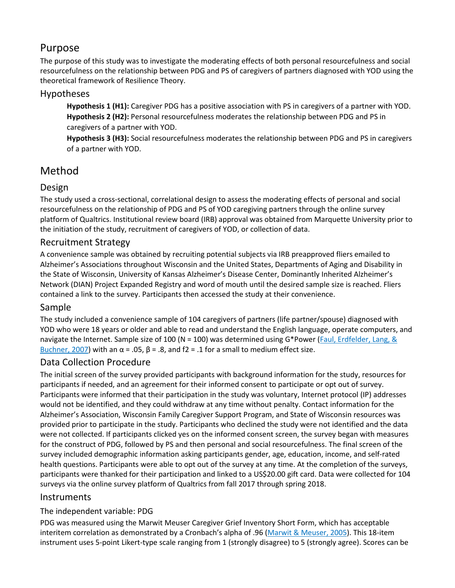## Purpose

The purpose of this study was to investigate the moderating effects of both personal resourcefulness and social resourcefulness on the relationship between PDG and PS of caregivers of partners diagnosed with YOD using the theoretical framework of Resilience Theory.

#### Hypotheses

**Hypothesis 1 (H1):** Caregiver PDG has a positive association with PS in caregivers of a partner with YOD. **Hypothesis 2 (H2):** Personal resourcefulness moderates the relationship between PDG and PS in caregivers of a partner with YOD.

**Hypothesis 3 (H3):** Social resourcefulness moderates the relationship between PDG and PS in caregivers of a partner with YOD.

## Method

#### Design

The study used a cross-sectional, correlational design to assess the moderating effects of personal and social resourcefulness on the relationship of PDG and PS of YOD caregiving partners through the online survey platform of Qualtrics. Institutional review board (IRB) approval was obtained from Marquette University prior to the initiation of the study, recruitment of caregivers of YOD, or collection of data.

#### Recruitment Strategy

A convenience sample was obtained by recruiting potential subjects via IRB preapproved fliers emailed to Alzheimer's Associations throughout Wisconsin and the United States, Departments of Aging and Disability in the State of Wisconsin, University of Kansas Alzheimer's Disease Center, Dominantly Inherited Alzheimer's Network (DIAN) Project Expanded Registry and word of mouth until the desired sample size is reached. Fliers contained a link to the survey. Participants then accessed the study at their convenience.

#### Sample

The study included a convenience sample of 104 caregivers of partners (life partner/spouse) diagnosed with YOD who were 18 years or older and able to read and understand the English language, operate computers, and navigate the Internet. Sample size of 100 (N = 100) was determined using G\*Power [\(Faul, Erdfelder, Lang, &](https://journals.sagepub.com/doi/10.1177/0193945918806689)  [Buchner, 2007](https://journals.sagepub.com/doi/10.1177/0193945918806689)) with an  $\alpha$  = .05,  $\beta$  = .8, and f2 = .1 for a small to medium effect size.

#### Data Collection Procedure

The initial screen of the survey provided participants with background information for the study, resources for participants if needed, and an agreement for their informed consent to participate or opt out of survey. Participants were informed that their participation in the study was voluntary, Internet protocol (IP) addresses would not be identified, and they could withdraw at any time without penalty. Contact information for the Alzheimer's Association, Wisconsin Family Caregiver Support Program, and State of Wisconsin resources was provided prior to participate in the study. Participants who declined the study were not identified and the data were not collected. If participants clicked yes on the informed consent screen, the survey began with measures for the construct of PDG, followed by PS and then personal and social resourcefulness. The final screen of the survey included demographic information asking participants gender, age, education, income, and self-rated health questions. Participants were able to opt out of the survey at any time. At the completion of the surveys, participants were thanked for their participation and linked to a US\$20.00 gift card. Data were collected for 104 surveys via the online survey platform of Qualtrics from fall 2017 through spring 2018.

#### **Instruments**

#### The independent variable: PDG

PDG was measured using the Marwit Meuser Caregiver Grief Inventory Short Form, which has acceptable interitem correlation as demonstrated by a Cronbach's alpha of .96 [\(Marwit & Meuser, 2005\)](https://journals.sagepub.com/doi/10.1177/0193945918806689). This 18-item instrument uses 5-point Likert-type scale ranging from 1 (strongly disagree) to 5 (strongly agree). Scores can be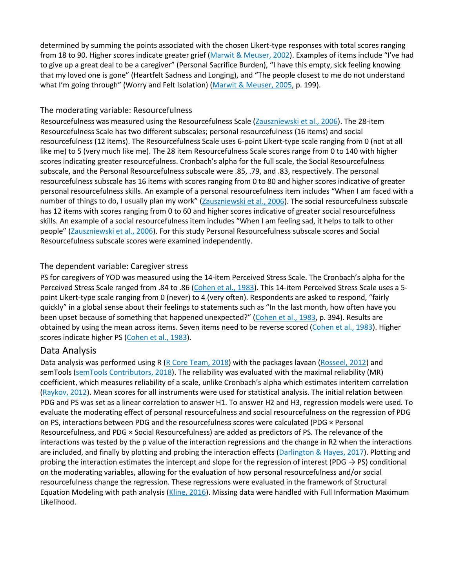determined by summing the points associated with the chosen Likert-type responses with total scores ranging from 18 to 90. Higher scores indicate greater grief [\(Marwit & Meuser, 2002\)](https://journals.sagepub.com/doi/10.1177/0193945918806689). Examples of items include "I've had to give up a great deal to be a caregiver" (Personal Sacrifice Burden), "I have this empty, sick feeling knowing that my loved one is gone" (Heartfelt Sadness and Longing), and "The people closest to me do not understand what I'm going through" (Worry and Felt Isolation) [\(Marwit & Meuser, 2005,](https://journals.sagepub.com/doi/10.1177/0193945918806689) p. 199).

#### The moderating variable: Resourcefulness

Resourcefulness was measured using the Resourcefulness Scale [\(Zauszniewski et al., 2006\)](https://journals.sagepub.com/doi/10.1177/0193945918806689). The 28-item Resourcefulness Scale has two different subscales; personal resourcefulness (16 items) and social resourcefulness (12 items). The Resourcefulness Scale uses 6-point Likert-type scale ranging from 0 (not at all like me) to 5 (very much like me). The 28 item Resourcefulness Scale scores range from 0 to 140 with higher scores indicating greater resourcefulness. Cronbach's alpha for the full scale, the Social Resourcefulness subscale, and the Personal Resourcefulness subscale were .85, .79, and .83, respectively. The personal resourcefulness subscale has 16 items with scores ranging from 0 to 80 and higher scores indicative of greater personal resourcefulness skills. An example of a personal resourcefulness item includes "When I am faced with a number of things to do, I usually plan my work" [\(Zauszniewski et al., 2006\)](https://journals.sagepub.com/doi/10.1177/0193945918806689). The social resourcefulness subscale has 12 items with scores ranging from 0 to 60 and higher scores indicative of greater social resourcefulness skills. An example of a social resourcefulness item includes "When I am feeling sad, it helps to talk to other people" [\(Zauszniewski et al., 2006\)](https://journals.sagepub.com/doi/10.1177/0193945918806689). For this study Personal Resourcefulness subscale scores and Social Resourcefulness subscale scores were examined independently.

#### The dependent variable: Caregiver stress

PS for caregivers of YOD was measured using the 14-item Perceived Stress Scale. The Cronbach's alpha for the Perceived Stress Scale ranged from .84 to .86 [\(Cohen et al., 1983\)](https://journals.sagepub.com/doi/10.1177/0193945918806689). This 14-item Perceived Stress Scale uses a 5 point Likert-type scale ranging from 0 (never) to 4 (very often). Respondents are asked to respond, "fairly quickly" in a global sense about their feelings to statements such as "In the last month, how often have you been upset because of something that happened unexpected?" [\(Cohen et al., 1983,](https://journals.sagepub.com/doi/10.1177/0193945918806689) p. 394). Results are obtained by using the mean across items. Seven items need to be reverse scored [\(Cohen et al., 1983\)](https://journals.sagepub.com/doi/10.1177/0193945918806689). Higher scores indicate higher PS [\(Cohen et al., 1983\)](https://journals.sagepub.com/doi/10.1177/0193945918806689).

#### Data Analysis

Data analysis was performed using R [\(R Core Team, 2018\)](https://journals.sagepub.com/doi/10.1177/0193945918806689) with the packages lavaan [\(Rosseel, 2012\)](https://journals.sagepub.com/doi/10.1177/0193945918806689) and semTools [\(semTools Contributors, 2018\)](https://journals.sagepub.com/doi/10.1177/0193945918806689). The reliability was evaluated with the maximal reliability (MR) coefficient, which measures reliability of a scale, unlike Cronbach's alpha which estimates interitem correlation [\(Raykov, 2012\)](https://journals.sagepub.com/doi/10.1177/0193945918806689). Mean scores for all instruments were used for statistical analysis. The initial relation between PDG and PS was set as a linear correlation to answer H1. To answer H2 and H3, regression models were used. To evaluate the moderating effect of personal resourcefulness and social resourcefulness on the regression of PDG on PS, interactions between PDG and the resourcefulness scores were calculated (PDG × Personal Resourcefulness, and PDG × Social Resourcefulness) are added as predictors of PS. The relevance of the interactions was tested by the p value of the interaction regressions and the change in R2 when the interactions are included, and finally by plotting and probing the interaction effects [\(Darlington & Hayes, 2017\)](https://journals.sagepub.com/doi/10.1177/0193945918806689). Plotting and probing the interaction estimates the intercept and slope for the regression of interest (PDG  $\rightarrow$  PS) conditional on the moderating variables, allowing for the evaluation of how personal resourcefulness and/or social resourcefulness change the regression. These regressions were evaluated in the framework of Structural Equation Modeling with path analysis [\(Kline, 2016\)](https://journals.sagepub.com/doi/10.1177/0193945918806689). Missing data were handled with Full Information Maximum Likelihood.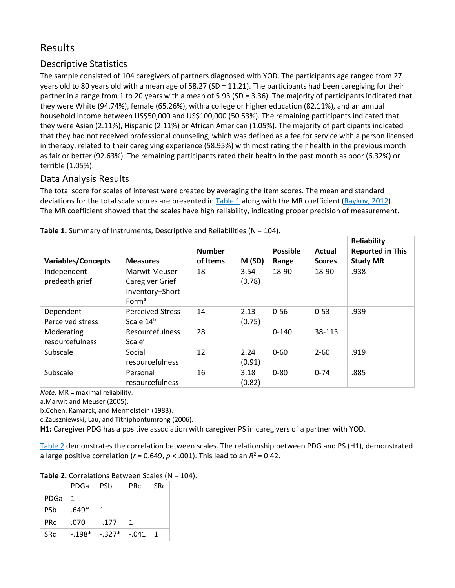## Results

## Descriptive Statistics

The sample consisted of 104 caregivers of partners diagnosed with YOD. The participants age ranged from 27 years old to 80 years old with a mean age of 58.27 (SD = 11.21). The participants had been caregiving for their partner in a range from 1 to 20 years with a mean of 5.93 (SD = 3.36). The majority of participants indicated that they were White (94.74%), female (65.26%), with a college or higher education (82.11%), and an annual household income between US\$50,000 and US\$100,000 (50.53%). The remaining participants indicated that they were Asian (2.11%), Hispanic (2.11%) or African American (1.05%). The majority of participants indicated that they had not received professional counseling, which was defined as a fee for service with a person licensed in therapy, related to their caregiving experience (58.95%) with most rating their health in the previous month as fair or better (92.63%). The remaining participants rated their health in the past month as poor (6.32%) or terrible (1.05%).

#### Data Analysis Results

The total score for scales of interest were created by averaging the item scores. The mean and standard deviations for the total scale scores are presented in [Table 1](https://journals.sagepub.com/doi/10.1177/0193945918806689) along with the MR coefficient [\(Raykov, 2012\)](https://journals.sagepub.com/doi/10.1177/0193945918806689). The MR coefficient showed that the scales have high reliability, indicating proper precision of measurement.

| <b>Variables/Concepts</b>     | <b>Measures</b>                                                          | <b>Number</b><br>of Items | M(SD)          | <b>Possible</b><br>Range | Actual<br><b>Scores</b> | Reliability<br><b>Reported in This</b><br><b>Study MR</b> |
|-------------------------------|--------------------------------------------------------------------------|---------------------------|----------------|--------------------------|-------------------------|-----------------------------------------------------------|
| Independent<br>predeath grief | Marwit Meuser<br>Caregiver Grief<br>Inventory-Short<br>Form <sup>a</sup> | 18                        | 3.54<br>(0.78) | 18-90                    | 18-90                   | .938                                                      |
| Dependent<br>Perceived stress | <b>Perceived Stress</b><br>Scale 14 <sup>b</sup>                         | 14                        | 2.13<br>(0.75) | $0 - 56$                 | $0 - 53$                | .939                                                      |
| Moderating<br>resourcefulness | <b>Resourcefulness</b><br><b>Scale<sup>c</sup></b>                       | 28                        |                | $0 - 140$                | 38-113                  |                                                           |
| Subscale                      | Social<br>resourcefulness                                                | 12                        | 2.24<br>(0.91) | $0 - 60$                 | $2 - 60$                | .919                                                      |
| Subscale                      | Personal<br>resourcefulness                                              | 16                        | 3.18<br>(0.82) | $0 - 80$                 | $0 - 74$                | .885                                                      |

| Table 1. Summary of Instruments, Descriptive and Reliabilities (N = 104). |  |  |
|---------------------------------------------------------------------------|--|--|
|---------------------------------------------------------------------------|--|--|

*Note.* MR = maximal reliability.

a.Marwit and Meuser (2005).

b.Cohen, Kamarck, and Mermelstein (1983).

c.Zauszniewski, Lau, and Tithiphontumrong (2006).

**H1:** Caregiver PDG has a positive association with caregiver PS in caregivers of a partner with YOD.

[Table 2](https://journals.sagepub.com/doi/10.1177/0193945918806689) demonstrates the correlation between scales. The relationship between PDG and PS (H1), demonstrated a large positive correlation ( $r = 0.649$ ,  $p < .001$ ). This lead to an  $R^2 = 0.42$ .

|  |            | PDGa    | <b>PSh</b> | <b>PRC</b>  | <b>SRc</b> |
|--|------------|---------|------------|-------------|------------|
|  | PDGa       | 1       |            |             |            |
|  | PSb        | .649*   | 1          |             |            |
|  | PRc        | .070    | $-.177$    | $\mathbf 1$ |            |
|  | <b>SRc</b> | $-198*$ | $-327*$    | $-.041$     | $\sim$ 1   |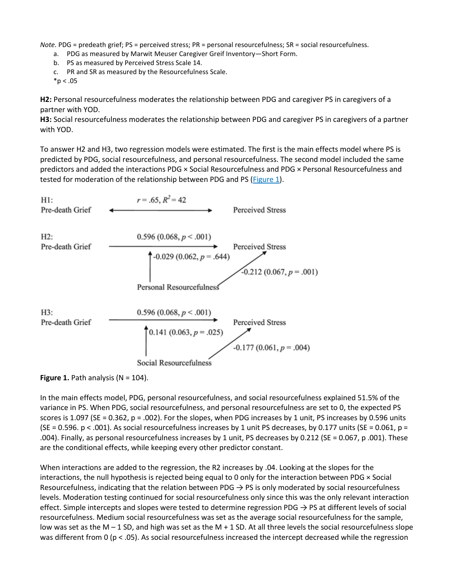*Note.* PDG = predeath grief; PS = perceived stress; PR = personal resourcefulness; SR = social resourcefulness.

- a. PDG as measured by Marwit Meuser Caregiver Greif Inventory—Short Form.
- b. PS as measured by Perceived Stress Scale 14.
- c. PR and SR as measured by the Resourcefulness Scale.

 $*p < .05$ 

**H2:** Personal resourcefulness moderates the relationship between PDG and caregiver PS in caregivers of a partner with YOD.

**H3:** Social resourcefulness moderates the relationship between PDG and caregiver PS in caregivers of a partner with YOD.

To answer H2 and H3, two regression models were estimated. The first is the main effects model where PS is predicted by PDG, social resourcefulness, and personal resourcefulness. The second model included the same predictors and added the interactions PDG × Social Resourcefulness and PDG × Personal Resourcefulness and tested for moderation of the relationship between PDG and PS [\(Figure 1\)](https://journals.sagepub.com/doi/10.1177/0193945918806689).



**Figure 1.** Path analysis (N = 104).

In the main effects model, PDG, personal resourcefulness, and social resourcefulness explained 51.5% of the variance in PS. When PDG, social resourcefulness, and personal resourcefulness are set to 0, the expected PS scores is 1.097 (SE = 0.362, p = .002). For the slopes, when PDG increases by 1 unit, PS increases by 0.596 units (SE = 0.596. p < .001). As social resourcefulness increases by 1 unit PS decreases, by 0.177 units (SE = 0.061, p = .004). Finally, as personal resourcefulness increases by 1 unit, PS decreases by 0.212 (SE = 0.067, p .001). These are the conditional effects, while keeping every other predictor constant.

When interactions are added to the regression, the R2 increases by .04. Looking at the slopes for the interactions, the null hypothesis is rejected being equal to 0 only for the interaction between PDG × Social Resourcefulness, indicating that the relation between PDG  $\rightarrow$  PS is only moderated by social resourcefulness levels. Moderation testing continued for social resourcefulness only since this was the only relevant interaction effect. Simple intercepts and slopes were tested to determine regression PDG  $\rightarrow$  PS at different levels of social resourcefulness. Medium social resourcefulness was set as the average social resourcefulness for the sample, low was set as the M  $-1$  SD, and high was set as the M  $+1$  SD. At all three levels the social resourcefulness slope was different from 0 (p < .05). As social resourcefulness increased the intercept decreased while the regression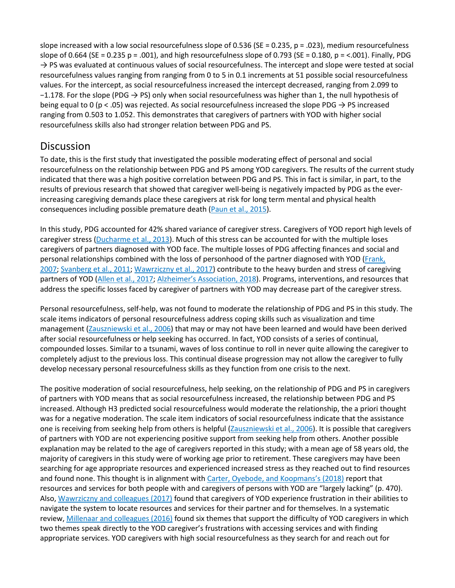slope increased with a low social resourcefulness slope of 0.536 (SE = 0.235, p = .023), medium resourcefulness slope of 0.664 (SE = 0.235 p = .001), and high resourcefulness slope of 0.793 (SE = 0.180, p = <.001). Finally, PDG  $\rightarrow$  PS was evaluated at continuous values of social resourcefulness. The intercept and slope were tested at social resourcefulness values ranging from ranging from 0 to 5 in 0.1 increments at 51 possible social resourcefulness values. For the intercept, as social resourcefulness increased the intercept decreased, ranging from 2.099 to −1.178. For the slope (PDG → PS) only when social resourcefulness was higher than 1, the null hypothesis of being equal to 0 (p < .05) was rejected. As social resourcefulness increased the slope PDG  $\rightarrow$  PS increased ranging from 0.503 to 1.052. This demonstrates that caregivers of partners with YOD with higher social resourcefulness skills also had stronger relation between PDG and PS.

## **Discussion**

To date, this is the first study that investigated the possible moderating effect of personal and social resourcefulness on the relationship between PDG and PS among YOD caregivers. The results of the current study indicated that there was a high positive correlation between PDG and PS. This in fact is similar, in part, to the results of previous research that showed that caregiver well-being is negatively impacted by PDG as the everincreasing caregiving demands place these caregivers at risk for long term mental and physical health consequences including possible premature death [\(Paun et al., 2015\)](https://journals.sagepub.com/doi/10.1177/0193945918806689).

In this study, PDG accounted for 42% shared variance of caregiver stress. Caregivers of YOD report high levels of caregiver stress [\(Ducharme et al., 2013\)](https://journals.sagepub.com/doi/10.1177/0193945918806689). Much of this stress can be accounted for with the multiple loses caregivers of partners diagnosed with YOD face. The multiple losses of PDG affecting finances and social and personal relationships combined with the loss of personhood of the partner diagnosed with YOD [\(Frank,](https://journals.sagepub.com/doi/10.1177/0193945918806689)  [2007;](https://journals.sagepub.com/doi/10.1177/0193945918806689) [Svanberg et al., 2011;](https://journals.sagepub.com/doi/10.1177/0193945918806689) [Wawrziczny et al., 2017\)](https://journals.sagepub.com/doi/10.1177/0193945918806689) contribute to the heavy burden and stress of caregiving partners of YOD [\(Allen et al., 2017;](https://journals.sagepub.com/doi/10.1177/0193945918806689) [Alzheimer's Association, 2018\)](https://journals.sagepub.com/doi/10.1177/0193945918806689). Programs, interventions, and resources that address the specific losses faced by caregiver of partners with YOD may decrease part of the caregiver stress.

Personal resourcefulness, self-help, was not found to moderate the relationship of PDG and PS in this study. The scale items indicators of personal resourcefulness address coping skills such as visualization and time management [\(Zauszniewski et al., 2006\)](https://journals.sagepub.com/doi/10.1177/0193945918806689) that may or may not have been learned and would have been derived after social resourcefulness or help seeking has occurred. In fact, YOD consists of a series of continual, compounded losses. Similar to a tsunami, waves of loss continue to roll in never quite allowing the caregiver to completely adjust to the previous loss. This continual disease progression may not allow the caregiver to fully develop necessary personal resourcefulness skills as they function from one crisis to the next.

The positive moderation of social resourcefulness, help seeking, on the relationship of PDG and PS in caregivers of partners with YOD means that as social resourcefulness increased, the relationship between PDG and PS increased. Although H3 predicted social resourcefulness would moderate the relationship, the a priori thought was for a negative moderation. The scale item indicators of social resourcefulness indicate that the assistance one is receiving from seeking help from others is helpful [\(Zauszniewski et al., 2006\)](https://journals.sagepub.com/doi/10.1177/0193945918806689). It is possible that caregivers of partners with YOD are not experiencing positive support from seeking help from others. Another possible explanation may be related to the age of caregivers reported in this study; with a mean age of 58 years old, the majority of caregivers in this study were of working age prior to retirement. These caregivers may have been searching for age appropriate resources and experienced increased stress as they reached out to find resources and found none. This thought is in alignment with [Carter, Oyebode, and Koopmans's \(2018\)](https://journals.sagepub.com/doi/10.1177/0193945918806689) report that resources and services for both people with and caregivers of persons with YOD are "largely lacking" (p. 470). Also, [Wawrziczny and colleagues \(2017\)](https://journals.sagepub.com/doi/10.1177/0193945918806689) found that caregivers of YOD experience frustration in their abilities to navigate the system to locate resources and services for their partner and for themselves. In a systematic review, [Millenaar and colleagues \(2016\)](https://journals.sagepub.com/doi/10.1177/0193945918806689) found six themes that support the difficulty of YOD caregivers in which two themes speak directly to the YOD caregiver's frustrations with accessing services and with finding appropriate services. YOD caregivers with high social resourcefulness as they search for and reach out for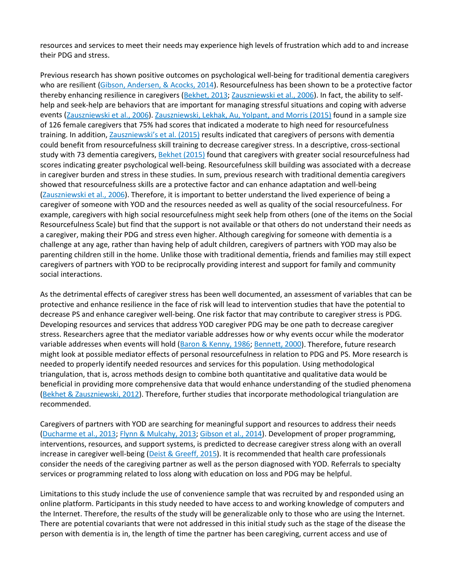resources and services to meet their needs may experience high levels of frustration which add to and increase their PDG and stress.

Previous research has shown positive outcomes on psychological well-being for traditional dementia caregivers who are resilient [\(Gibson, Andersen, & Acocks, 2014\)](https://journals.sagepub.com/doi/10.1177/0193945918806689). Resourcefulness has been shown to be a protective factor thereby enhancing resilience in caregivers [\(Bekhet, 2013;](https://journals.sagepub.com/doi/10.1177/0193945918806689) [Zauszniewski et al., 2006\)](https://journals.sagepub.com/doi/10.1177/0193945918806689). In fact, the ability to selfhelp and seek-help are behaviors that are important for managing stressful situations and coping with adverse events [\(Zauszniewski et al., 2006\)](https://journals.sagepub.com/doi/10.1177/0193945918806689). [Zauszniewski, Lekhak, Au, Yolpant, and Morris \(2015\)](https://journals.sagepub.com/doi/10.1177/0193945918806689) found in a sample size of 126 female caregivers that 75% had scores that indicated a moderate to high need for resourcefulness training. In addition, [Zauszniewski's et al. \(2015\)](https://journals.sagepub.com/doi/10.1177/0193945918806689) results indicated that caregivers of persons with dementia could benefit from resourcefulness skill training to decrease caregiver stress. In a descriptive, cross-sectional study with 73 dementia caregivers, [Bekhet \(2015\)](https://journals.sagepub.com/doi/10.1177/0193945918806689) found that caregivers with greater social resourcefulness had scores indicating greater psychological well-being. Resourcefulness skill building was associated with a decrease in caregiver burden and stress in these studies. In sum, previous research with traditional dementia caregivers showed that resourcefulness skills are a protective factor and can enhance adaptation and well-being [\(Zauszniewski et al., 2006\)](https://journals.sagepub.com/doi/10.1177/0193945918806689). Therefore, it is important to better understand the lived experience of being a caregiver of someone with YOD and the resources needed as well as quality of the social resourcefulness. For example, caregivers with high social resourcefulness might seek help from others (one of the items on the Social Resourcefulness Scale) but find that the support is not available or that others do not understand their needs as a caregiver, making their PDG and stress even higher. Although caregiving for someone with dementia is a challenge at any age, rather than having help of adult children, caregivers of partners with YOD may also be parenting children still in the home. Unlike those with traditional dementia, friends and families may still expect caregivers of partners with YOD to be reciprocally providing interest and support for family and community social interactions.

As the detrimental effects of caregiver stress has been well documented, an assessment of variables that can be protective and enhance resilience in the face of risk will lead to intervention studies that have the potential to decrease PS and enhance caregiver well-being. One risk factor that may contribute to caregiver stress is PDG. Developing resources and services that address YOD caregiver PDG may be one path to decrease caregiver stress. Researchers agree that the mediator variable addresses how or why events occur while the moderator variable addresses when events will hold [\(Baron & Kenny, 1986;](https://journals.sagepub.com/doi/10.1177/0193945918806689) [Bennett, 2000\)](https://journals.sagepub.com/doi/10.1177/0193945918806689). Therefore, future research might look at possible mediator effects of personal resourcefulness in relation to PDG and PS. More research is needed to properly identify needed resources and services for this population. Using methodological triangulation, that is, across methods design to combine both quantitative and qualitative data would be beneficial in providing more comprehensive data that would enhance understanding of the studied phenomena [\(Bekhet & Zauszniewski, 2012\)](https://journals.sagepub.com/doi/10.1177/0193945918806689). Therefore, further studies that incorporate methodological triangulation are recommended.

Caregivers of partners with YOD are searching for meaningful support and resources to address their needs [\(Ducharme et al., 2013;](https://journals.sagepub.com/doi/10.1177/0193945918806689) [Flynn & Mulcahy, 2013;](https://journals.sagepub.com/doi/10.1177/0193945918806689) [Gibson et al., 2014\)](https://journals.sagepub.com/doi/10.1177/0193945918806689). Development of proper programming, interventions, resources, and support systems, is predicted to decrease caregiver stress along with an overall increase in caregiver well-being [\(Deist & Greeff, 2015\)](https://journals.sagepub.com/doi/10.1177/0193945918806689). It is recommended that health care professionals consider the needs of the caregiving partner as well as the person diagnosed with YOD. Referrals to specialty services or programming related to loss along with education on loss and PDG may be helpful.

Limitations to this study include the use of convenience sample that was recruited by and responded using an online platform. Participants in this study needed to have access to and working knowledge of computers and the Internet. Therefore, the results of the study will be generalizable only to those who are using the Internet. There are potential covariants that were not addressed in this initial study such as the stage of the disease the person with dementia is in, the length of time the partner has been caregiving, current access and use of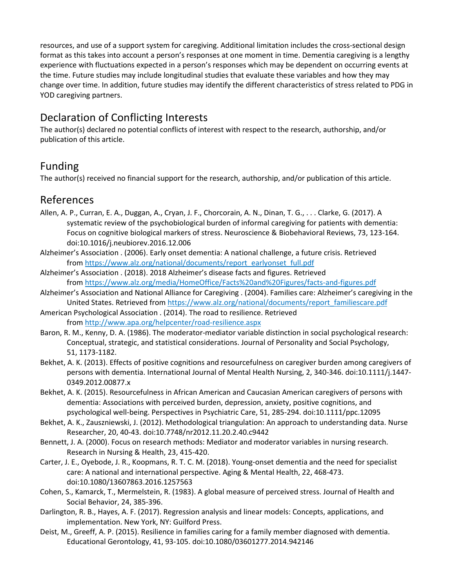resources, and use of a support system for caregiving. Additional limitation includes the cross-sectional design format as this takes into account a person's responses at one moment in time. Dementia caregiving is a lengthy experience with fluctuations expected in a person's responses which may be dependent on occurring events at the time. Future studies may include longitudinal studies that evaluate these variables and how they may change over time. In addition, future studies may identify the different characteristics of stress related to PDG in YOD caregiving partners.

## Declaration of Conflicting Interests

The author(s) declared no potential conflicts of interest with respect to the research, authorship, and/or publication of this article.

## Funding

The author(s) received no financial support for the research, authorship, and/or publication of this article.

## References

- Allen, A. P., Curran, E. A., Duggan, A., Cryan, J. F., Chorcorain, A. N., Dinan, T. G., . . . Clarke, G. (2017). A systematic review of the psychobiological burden of informal caregiving for patients with dementia: Focus on cognitive biological markers of stress. Neuroscience & Biobehavioral Reviews, 73, 123-164. doi:10.1016/j.neubiorev.2016.12.006
- Alzheimer's Association . (2006). Early onset dementia: A national challenge, a future crisis. Retrieved from [https://www.alz.org/national/documents/report\\_earlyonset\\_full.pdf](https://www.alz.org/national/documents/report_earlyonset_full.pdf)
- Alzheimer's Association . (2018). 2018 Alzheimer's disease facts and figures. Retrieved from <https://www.alz.org/media/HomeOffice/Facts%20and%20Figures/facts-and-figures.pdf>
- Alzheimer's Association and National Alliance for Caregiving . (2004). Families care: Alzheimer's caregiving in the United States. Retrieved from [https://www.alz.org/national/documents/report\\_familiescare.pdf](https://www.alz.org/national/documents/report_familiescare.pdf)
- American Psychological Association . (2014). The road to resilience. Retrieved from <http://www.apa.org/helpcenter/road-resilience.aspx>
- Baron, R. M., Kenny, D. A. (1986). The moderator-mediator variable distinction in social psychological research: Conceptual, strategic, and statistical considerations. Journal of Personality and Social Psychology, 51, 1173-1182.
- Bekhet, A. K. (2013). Effects of positive cognitions and resourcefulness on caregiver burden among caregivers of persons with dementia. International Journal of Mental Health Nursing, 2, 340-346. doi:10.1111/j.1447- 0349.2012.00877.x
- Bekhet, A. K. (2015). Resourcefulness in African American and Caucasian American caregivers of persons with dementia: Associations with perceived burden, depression, anxiety, positive cognitions, and psychological well-being. Perspectives in Psychiatric Care, 51, 285-294. doi:10.1111/ppc.12095
- Bekhet, A. K., Zauszniewski, J. (2012). Methodological triangulation: An approach to understanding data. Nurse Researcher, 20, 40-43. doi:10.7748/nr2012.11.20.2.40.c9442
- Bennett, J. A. (2000). Focus on research methods: Mediator and moderator variables in nursing research. Research in Nursing & Health, 23, 415-420.
- Carter, J. E., Oyebode, J. R., Koopmans, R. T. C. M. (2018). Young-onset dementia and the need for specialist care: A national and international perspective. Aging & Mental Health, 22, 468-473. doi:10.1080/13607863.2016.1257563
- Cohen, S., Kamarck, T., Mermelstein, R. (1983). A global measure of perceived stress. Journal of Health and Social Behavior, 24, 385-396.
- Darlington, R. B., Hayes, A. F. (2017). Regression analysis and linear models: Concepts, applications, and implementation. New York, NY: Guilford Press.
- Deist, M., Greeff, A. P. (2015). Resilience in families caring for a family member diagnosed with dementia. Educational Gerontology, 41, 93-105. doi:10.1080/03601277.2014.942146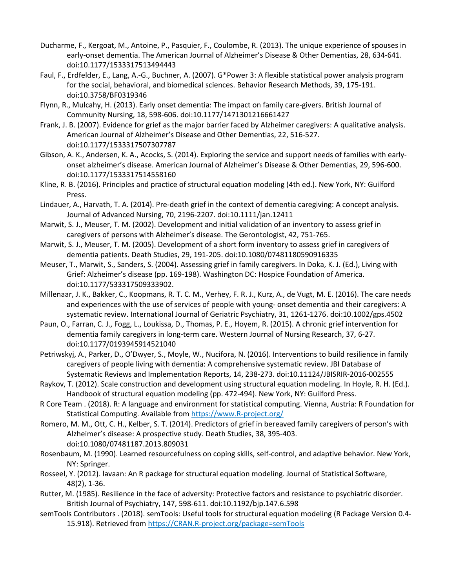- Ducharme, F., Kergoat, M., Antoine, P., Pasquier, F., Coulombe, R. (2013). The unique experience of spouses in early-onset dementia. The American Journal of Alzheimer's Disease & Other Dementias, 28, 634-641. doi:10.1177/1533317513494443
- Faul, F., Erdfelder, E., Lang, A.-G., Buchner, A. (2007). G\*Power 3: A flexible statistical power analysis program for the social, behavioral, and biomedical sciences. Behavior Research Methods, 39, 175-191. doi:10.3758/BF0319346
- Flynn, R., Mulcahy, H. (2013). Early onset dementia: The impact on family care-givers. British Journal of Community Nursing, 18, 598-606. doi:10.1177/1471301216661427
- Frank, J. B. (2007). Evidence for grief as the major barrier faced by Alzheimer caregivers: A qualitative analysis. American Journal of Alzheimer's Disease and Other Dementias, 22, 516-527. doi:10.1177/1533317507307787
- Gibson, A. K., Andersen, K. A., Acocks, S. (2014). Exploring the service and support needs of families with earlyonset alzheimer's disease. American Journal of Alzheimer's Disease & Other Dementias, 29, 596-600. doi:10.1177/1533317514558160
- Kline, R. B. (2016). Principles and practice of structural equation modeling (4th ed.). New York, NY: Guilford Press.
- Lindauer, A., Harvath, T. A. (2014). Pre-death grief in the context of dementia caregiving: A concept analysis. Journal of Advanced Nursing, 70, 2196-2207. doi:10.1111/jan.12411
- Marwit, S. J., Meuser, T. M. (2002). Development and initial validation of an inventory to assess grief in caregivers of persons with Alzheimer's disease. The Gerontologist, 42, 751-765.
- Marwit, S. J., Meuser, T. M. (2005). Development of a short form inventory to assess grief in caregivers of dementia patients. Death Studies, 29, 191-205. doi:10.1080/07481180590916335
- Meuser, T., Marwit, S., Sanders, S. (2004). Assessing grief in family caregivers. In Doka, K. J. (Ed.), Living with Grief: Alzheimer's disease (pp. 169-198). Washington DC: Hospice Foundation of America. doi:10.1177/533317509333902.
- Millenaar, J. K., Bakker, C., Koopmans, R. T. C. M., Verhey, F. R. J., Kurz, A., de Vugt, M. E. (2016). The care needs and experiences with the use of services of people with young- onset dementia and their caregivers: A systematic review. International Journal of Geriatric Psychiatry, 31, 1261-1276. doi:10.1002/gps.4502
- Paun, O., Farran, C. J., Fogg, L., Loukissa, D., Thomas, P. E., Hoyem, R. (2015). A chronic grief intervention for dementia family caregivers in long-term care. Western Journal of Nursing Research, 37, 6-27. doi:10.1177/0193945914521040
- Petriwskyj, A., Parker, D., O'Dwyer, S., Moyle, W., Nucifora, N. (2016). Interventions to build resilience in family caregivers of people living with dementia: A comprehensive systematic review. JBI Database of Systematic Reviews and Implementation Reports, 14, 238-273. doi:10.11124/JBISRIR-2016-002555
- Raykov, T. (2012). Scale construction and development using structural equation modeling. In Hoyle, R. H. (Ed.). Handbook of structural equation modeling (pp. 472-494). New York, NY: Guilford Press.
- R Core Team . (2018). R: A language and environment for statistical computing. Vienna, Austria: R Foundation for Statistical Computing. Available from [https://www.R-project.org/](https://www.r-project.org/)
- Romero, M. M., Ott, C. H., Kelber, S. T. (2014). Predictors of grief in bereaved family caregivers of person's with Alzheimer's disease: A prospective study. Death Studies, 38, 395-403. doi:10.1080/07481187.2013.809031
- Rosenbaum, M. (1990). Learned resourcefulness on coping skills, self-control, and adaptive behavior. New York, NY: Springer.
- Rosseel, Y. (2012). lavaan: An R package for structural equation modeling. Journal of Statistical Software, 48(2), 1-36.
- Rutter, M. (1985). Resilience in the face of adversity: Protective factors and resistance to psychiatric disorder. British Journal of Psychiatry, 147, 598-611. doi:10.1192/bjp.147.6.598
- semTools Contributors . (2018). semTools: Useful tools for structural equation modeling (R Package Version 0.4- 15.918). Retrieved from [https://CRAN.R-project.org/package=semTools](https://cran.r-project.org/package=semTools)